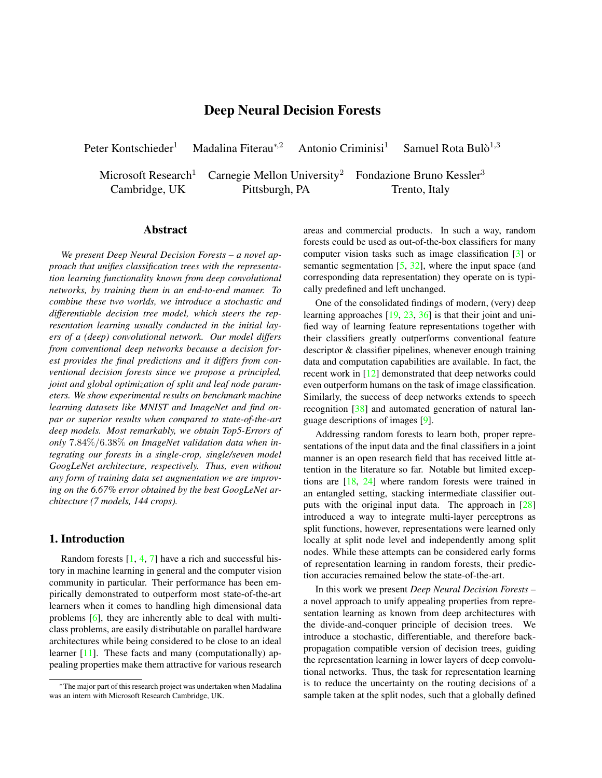# Deep Neural Decision Forests

<span id="page-0-0"></span>Peter Kontschieder<sup>1</sup> Madalina Fiterau<sup>\*,2</sup> Antonio Criminisi<sup>1</sup>

Samuel Rota Bul $\delta^{1,3}$ 

Microsoft Research<sup>1</sup> Carnegie Mellon University<sup>2</sup> Fondazione Bruno Kessler<sup>3</sup> Cambridge, UK Pittsburgh, PA Trento, Italy

### Abstract

*We present Deep Neural Decision Forests – a novel approach that unifies classification trees with the representation learning functionality known from deep convolutional networks, by training them in an end-to-end manner. To combine these two worlds, we introduce a stochastic and differentiable decision tree model, which steers the representation learning usually conducted in the initial layers of a (deep) convolutional network. Our model differs from conventional deep networks because a decision forest provides the final predictions and it differs from conventional decision forests since we propose a principled, joint and global optimization of split and leaf node parameters. We show experimental results on benchmark machine learning datasets like MNIST and ImageNet and find onpar or superior results when compared to state-of-the-art deep models. Most remarkably, we obtain Top5-Errors of only* 7.84%/6.38% *on ImageNet validation data when integrating our forests in a single-crop, single/seven model GoogLeNet architecture, respectively. Thus, even without any form of training data set augmentation we are improving on the 6.67% error obtained by the best GoogLeNet architecture (7 models, 144 crops).*

## 1. Introduction

Random forests  $[1, 4, 7]$  $[1, 4, 7]$  $[1, 4, 7]$  $[1, 4, 7]$  $[1, 4, 7]$  have a rich and successful history in machine learning in general and the computer vision community in particular. Their performance has been empirically demonstrated to outperform most state-of-the-art learners when it comes to handling high dimensional data problems [\[6\]](#page-8-3), they are inherently able to deal with multiclass problems, are easily distributable on parallel hardware architectures while being considered to be close to an ideal learner [\[11\]](#page-8-4). These facts and many (computationally) appealing properties make them attractive for various research areas and commercial products. In such a way, random forests could be used as out-of-the-box classifiers for many computer vision tasks such as image classification [\[3\]](#page-8-5) or semantic segmentation  $[5, 32]$  $[5, 32]$  $[5, 32]$ , where the input space (and corresponding data representation) they operate on is typically predefined and left unchanged.

One of the consolidated findings of modern, (very) deep learning approaches [\[19,](#page-8-8) [23,](#page-8-9) [36\]](#page-8-10) is that their joint and unified way of learning feature representations together with their classifiers greatly outperforms conventional feature descriptor & classifier pipelines, whenever enough training data and computation capabilities are available. In fact, the recent work in [\[12\]](#page-8-11) demonstrated that deep networks could even outperform humans on the task of image classification. Similarly, the success of deep networks extends to speech recognition [\[38\]](#page-8-12) and automated generation of natural language descriptions of images [\[9\]](#page-8-13).

Addressing random forests to learn both, proper representations of the input data and the final classifiers in a joint manner is an open research field that has received little attention in the literature so far. Notable but limited exceptions are [\[18,](#page-8-14) [24\]](#page-8-15) where random forests were trained in an entangled setting, stacking intermediate classifier outputs with the original input data. The approach in [\[28\]](#page-8-16) introduced a way to integrate multi-layer perceptrons as split functions, however, representations were learned only locally at split node level and independently among split nodes. While these attempts can be considered early forms of representation learning in random forests, their prediction accuracies remained below the state-of-the-art.

In this work we present *Deep Neural Decision Forests* – a novel approach to unify appealing properties from representation learning as known from deep architectures with the divide-and-conquer principle of decision trees. We introduce a stochastic, differentiable, and therefore backpropagation compatible version of decision trees, guiding the representation learning in lower layers of deep convolutional networks. Thus, the task for representation learning is to reduce the uncertainty on the routing decisions of a sample taken at the split nodes, such that a globally defined

<sup>∗</sup>The major part of this research project was undertaken when Madalina was an intern with Microsoft Research Cambridge, UK.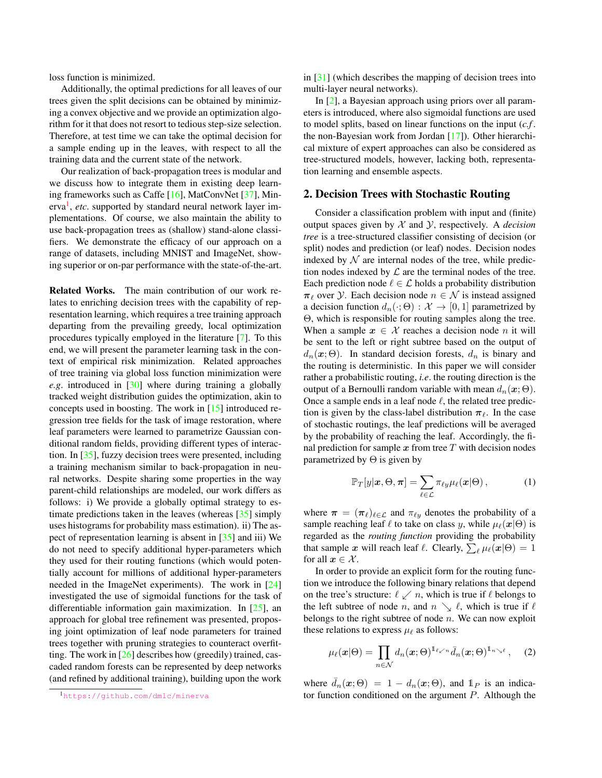<span id="page-1-4"></span>loss function is minimized.

Additionally, the optimal predictions for all leaves of our trees given the split decisions can be obtained by minimizing a convex objective and we provide an optimization algorithm for it that does not resort to tedious step-size selection. Therefore, at test time we can take the optimal decision for a sample ending up in the leaves, with respect to all the training data and the current state of the network.

Our realization of back-propagation trees is modular and we discuss how to integrate them in existing deep learning frameworks such as Caffe [\[16\]](#page-8-17), MatConvNet [\[37\]](#page-8-18), Min-erva<sup>[1](#page-1-0)</sup>, etc. supported by standard neural network layer implementations. Of course, we also maintain the ability to use back-propagation trees as (shallow) stand-alone classifiers. We demonstrate the efficacy of our approach on a range of datasets, including MNIST and ImageNet, showing superior or on-par performance with the state-of-the-art.

Related Works. The main contribution of our work relates to enriching decision trees with the capability of representation learning, which requires a tree training approach departing from the prevailing greedy, local optimization procedures typically employed in the literature [\[7\]](#page-8-2). To this end, we will present the parameter learning task in the context of empirical risk minimization. Related approaches of tree training via global loss function minimization were *e.g*. introduced in [\[30\]](#page-8-19) where during training a globally tracked weight distribution guides the optimization, akin to concepts used in boosting. The work in [\[15\]](#page-8-20) introduced regression tree fields for the task of image restoration, where leaf parameters were learned to parametrize Gaussian conditional random fields, providing different types of interaction. In [\[35\]](#page-8-21), fuzzy decision trees were presented, including a training mechanism similar to back-propagation in neural networks. Despite sharing some properties in the way parent-child relationships are modeled, our work differs as follows: i) We provide a globally optimal strategy to estimate predictions taken in the leaves (whereas [\[35\]](#page-8-21) simply uses histograms for probability mass estimation). ii) The aspect of representation learning is absent in [\[35\]](#page-8-21) and iii) We do not need to specify additional hyper-parameters which they used for their routing functions (which would potentially account for millions of additional hyper-parameters needed in the ImageNet experiments). The work in [\[24\]](#page-8-15) investigated the use of sigmoidal functions for the task of differentiable information gain maximization. In [\[25\]](#page-8-22), an approach for global tree refinement was presented, proposing joint optimization of leaf node parameters for trained trees together with pruning strategies to counteract overfitting. The work in [\[26\]](#page-8-23) describes how (greedily) trained, cascaded random forests can be represented by deep networks (and refined by additional training), building upon the work

in [\[31\]](#page-8-24) (which describes the mapping of decision trees into multi-layer neural networks).

In [\[2\]](#page-8-25), a Bayesian approach using priors over all parameters is introduced, where also sigmoidal functions are used to model splits, based on linear functions on the input (*c.f* . the non-Bayesian work from Jordan [\[17\]](#page-8-26)). Other hierarchical mixture of expert approaches can also be considered as tree-structured models, however, lacking both, representation learning and ensemble aspects.

## <span id="page-1-2"></span>2. Decision Trees with Stochastic Routing

Consider a classification problem with input and (finite) output spaces given by X and Y, respectively. A *decision tree* is a tree-structured classifier consisting of decision (or split) nodes and prediction (or leaf) nodes. Decision nodes indexed by  $N$  are internal nodes of the tree, while prediction nodes indexed by  $\mathcal L$  are the terminal nodes of the tree. Each prediction node  $\ell \in \mathcal{L}$  holds a probability distribution  $\pi_{\ell}$  over Y. Each decision node  $n \in \mathcal{N}$  is instead assigned a decision function  $d_n(\cdot; \Theta) : \mathcal{X} \to [0, 1]$  parametrized by Θ, which is responsible for routing samples along the tree. When a sample  $x \in \mathcal{X}$  reaches a decision node n it will be sent to the left or right subtree based on the output of  $d_n(x; \Theta)$ . In standard decision forests,  $d_n$  is binary and the routing is deterministic. In this paper we will consider rather a probabilistic routing, *i.e*. the routing direction is the output of a Bernoulli random variable with mean  $d_n(\mathbf{x}; \Theta)$ . Once a sample ends in a leaf node  $\ell$ , the related tree prediction is given by the class-label distribution  $\pi_{\ell}$ . In the case of stochastic routings, the leaf predictions will be averaged by the probability of reaching the leaf. Accordingly, the final prediction for sample  $x$  from tree  $T$  with decision nodes parametrized by  $\Theta$  is given by

<span id="page-1-3"></span>
$$
\mathbb{P}_T[y|\boldsymbol{x},\Theta,\boldsymbol{\pi}] = \sum_{\ell \in \mathcal{L}} \pi_{\ell y} \mu_{\ell}(\boldsymbol{x}|\Theta), \qquad (1)
$$

where  $\pi = (\pi_\ell)_{\ell \in \mathcal{L}}$  and  $\pi_{\ell y}$  denotes the probability of a sample reaching leaf  $\ell$  to take on class y, while  $\mu_{\ell}(\mathbf{x}|\Theta)$  is regarded as the *routing function* providing the probability that sample  $x$  will reach leaf  $\ell$ . Clearly,  $\sum_{\ell} \mu_{\ell}(x|\Theta) = 1$ for all  $x \in \mathcal{X}$ .

In order to provide an explicit form for the routing function we introduce the following binary relations that depend on the tree's structure:  $\ell \swarrow n$ , which is true if  $\ell$  belongs to the left subtree of node n, and  $n \searrow \ell$ , which is true if  $\ell$ belongs to the right subtree of node  $n$ . We can now exploit these relations to express  $\mu_{\ell}$  as follows:

<span id="page-1-1"></span>
$$
\mu_{\ell}(\boldsymbol{x}|\Theta) = \prod_{n \in \mathcal{N}} d_n(\boldsymbol{x};\Theta)^{1_{\ell \swarrow n}} \bar{d}_n(\boldsymbol{x};\Theta)^{1_{n \searrow \ell}}, \quad (2)
$$

where  $\bar{d}_n(\mathbf{x}; \Theta) = 1 - d_n(\mathbf{x}; \Theta)$ , and  $\mathbb{1}_P$  is an indicator function conditioned on the argument P. Although the

<span id="page-1-0"></span><sup>1</sup><https://github.com/dmlc/minerva>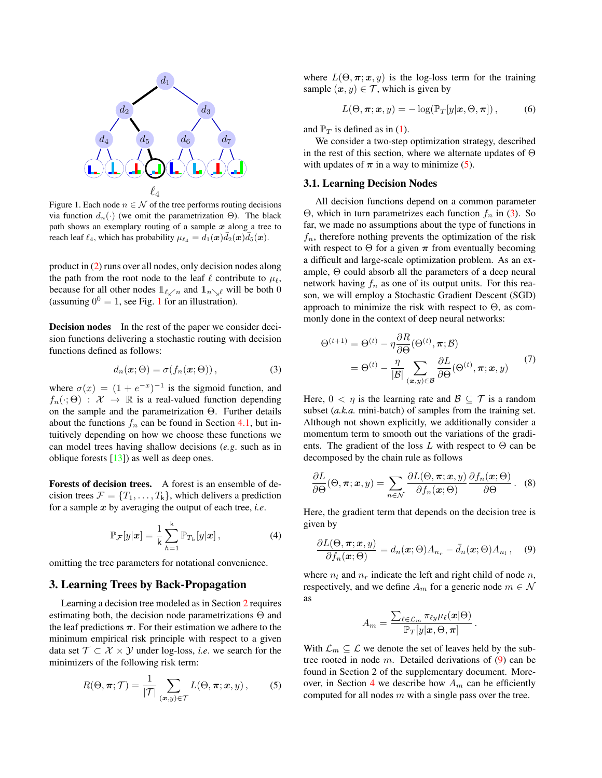<span id="page-2-7"></span>

<span id="page-2-0"></span>Figure 1. Each node  $n \in \mathcal{N}$  of the tree performs routing decisions via function  $d_n(·)$  (we omit the parametrization Θ). The black path shows an exemplary routing of a sample  $x$  along a tree to reach leaf  $\ell_4$ , which has probability  $\mu_{\ell_4} = d_1(\boldsymbol{x})\bar{d}_2(\boldsymbol{x})\bar{d}_5(\boldsymbol{x})$ .

product in [\(2\)](#page-1-1) runs over all nodes, only decision nodes along the path from the root node to the leaf  $\ell$  contribute to  $\mu_{\ell}$ , because for all other nodes  $\mathbb{1}_{\ell \swarrow n}$  and  $\mathbb{1}_{n \searrow \ell}$  will be both 0 (assuming  $0^0 = 1$  $0^0 = 1$ , see Fig. 1 for an illustration).

Decision nodes In the rest of the paper we consider decision functions delivering a stochastic routing with decision functions defined as follows:

<span id="page-2-2"></span>
$$
d_n(\boldsymbol{x}; \Theta) = \sigma(f_n(\boldsymbol{x}; \Theta)), \qquad (3)
$$

where  $\sigma(x) = (1 + e^{-x})^{-1}$  is the sigmoid function, and  $f_n(\cdot; \Theta) : \mathcal{X} \to \mathbb{R}$  is a real-valued function depending on the sample and the parametrization Θ. Further details about the functions  $f_n$  can be found in Section [4.1,](#page-3-0) but intuitively depending on how we choose these functions we can model trees having shallow decisions (*e.g*. such as in oblique forests [\[13\]](#page-8-27)) as well as deep ones.

Forests of decision trees. A forest is an ensemble of decision trees  $\mathcal{F} = \{T_1, \ldots, T_k\}$ , which delivers a prediction for a sample x by averaging the output of each tree, *i.e*.

<span id="page-2-5"></span>
$$
\mathbb{P}_{\mathcal{F}}[y|\boldsymbol{x}] = \frac{1}{k} \sum_{h=1}^{k} \mathbb{P}_{T_h}[y|\boldsymbol{x}], \qquad (4)
$$

omitting the tree parameters for notational convenience.

## 3. Learning Trees by Back-Propagation

Learning a decision tree modeled as in Section [2](#page-1-2) requires estimating both, the decision node parametrizations  $\Theta$  and the leaf predictions  $\pi$ . For their estimation we adhere to the minimum empirical risk principle with respect to a given data set  $\mathcal{T} \subset \mathcal{X} \times \mathcal{Y}$  under log-loss, *i.e.* we search for the minimizers of the following risk term:

<span id="page-2-1"></span>
$$
R(\Theta, \pi; \mathcal{T}) = \frac{1}{|\mathcal{T}|} \sum_{(\bm{x}, y) \in \mathcal{T}} L(\Theta, \pi; \bm{x}, y), \quad (5)
$$

where  $L(\Theta, \pi; x, y)$  is the log-loss term for the training sample  $(x, y) \in \mathcal{T}$ , which is given by

$$
L(\Theta, \pi; \mathbf{x}, y) = -\log(\mathbb{P}_T[y|\mathbf{x}, \Theta, \pi]), \tag{6}
$$

and  $\mathbb{P}_T$  is defined as in [\(1\)](#page-1-3).

We consider a two-step optimization strategy, described in the rest of this section, where we alternate updates of  $\Theta$ with updates of  $\pi$  in a way to minimize [\(5\)](#page-2-1).

### <span id="page-2-4"></span>3.1. Learning Decision Nodes

All decision functions depend on a common parameter Θ, which in turn parametrizes each function  $f_n$  in [\(3\)](#page-2-2). So far, we made no assumptions about the type of functions in  $f_n$ , therefore nothing prevents the optimization of the risk with respect to  $\Theta$  for a given  $\pi$  from eventually becoming a difficult and large-scale optimization problem. As an example, Θ could absorb all the parameters of a deep neural network having  $f_n$  as one of its output units. For this reason, we will employ a Stochastic Gradient Descent (SGD) approach to minimize the risk with respect to  $\Theta$ , as commonly done in the context of deep neural networks:

<span id="page-2-6"></span>
$$
\Theta^{(t+1)} = \Theta^{(t)} - \eta \frac{\partial R}{\partial \Theta}(\Theta^{(t)}, \pi; \mathcal{B})
$$

$$
= \Theta^{(t)} - \frac{\eta}{|\mathcal{B}|} \sum_{(\mathbf{x}, y) \in \mathcal{B}} \frac{\partial L}{\partial \Theta}(\Theta^{(t)}, \pi; \mathbf{x}, y)
$$
(7)

Here,  $0 < \eta$  is the learning rate and  $\mathcal{B} \subseteq \mathcal{T}$  is a random subset (*a.k.a.* mini-batch) of samples from the training set. Although not shown explicitly, we additionally consider a momentum term to smooth out the variations of the gradients. The gradient of the loss L with respect to  $\Theta$  can be decomposed by the chain rule as follows

$$
\frac{\partial L}{\partial \Theta}(\Theta, \pi; \mathbf{x}, y) = \sum_{n \in \mathcal{N}} \frac{\partial L(\Theta, \pi; \mathbf{x}, y)}{\partial f_n(\mathbf{x}; \Theta)} \frac{\partial f_n(\mathbf{x}; \Theta)}{\partial \Theta}.
$$
 (8)

Here, the gradient term that depends on the decision tree is given by

<span id="page-2-3"></span>
$$
\frac{\partial L(\Theta,\boldsymbol{\pi};\boldsymbol{x},y)}{\partial f_n(\boldsymbol{x};\Theta)} = d_n(\boldsymbol{x};\Theta)A_{n_r} - \bar{d}_n(\boldsymbol{x};\Theta)A_{n_l},\quad (9)
$$

where  $n_l$  and  $n_r$  indicate the left and right child of node n, respectively, and we define  $A_m$  for a generic node  $m \in \mathcal{N}$ as

$$
A_m = \frac{\sum_{\ell \in \mathcal{L}_m} \pi_{\ell y} \mu_{\ell}(\boldsymbol{x}|\Theta)}{\mathbb{P}_T[y|\boldsymbol{x},\Theta,\boldsymbol{\pi}]}
$$

.

With  $\mathcal{L}_m \subseteq \mathcal{L}$  we denote the set of leaves held by the subtree rooted in node  $m$ . Detailed derivations of  $(9)$  can be found in Section 2 of the supplementary document. More-over, in Section [4](#page-3-1) we describe how  $A_m$  can be efficiently computed for all nodes  $m$  with a single pass over the tree.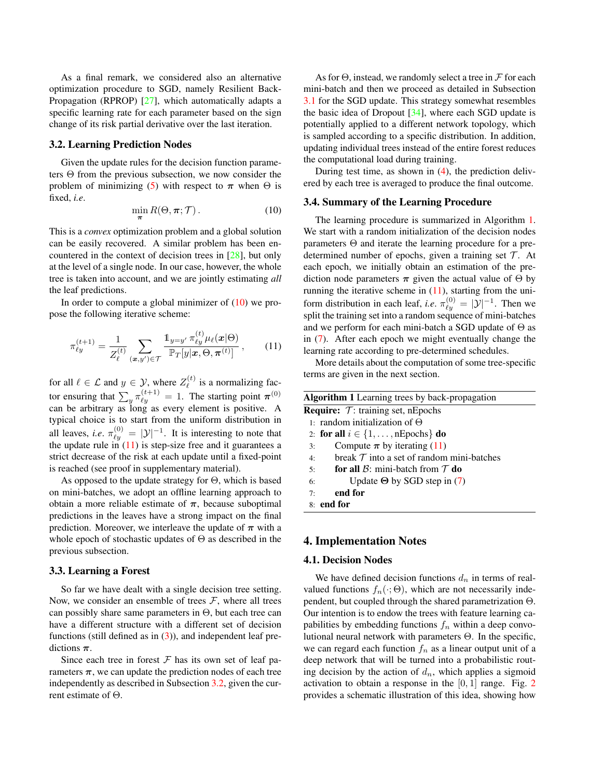<span id="page-3-7"></span>As a final remark, we considered also an alternative optimization procedure to SGD, namely Resilient Back-Propagation (RPROP) [\[27\]](#page-8-28), which automatically adapts a specific learning rate for each parameter based on the sign change of its risk partial derivative over the last iteration.

#### <span id="page-3-4"></span>3.2. Learning Prediction Nodes

Given the update rules for the decision function parameters Θ from the previous subsection, we now consider the problem of minimizing [\(5\)](#page-2-1) with respect to  $\pi$  when  $\Theta$  is fixed, *i.e*.

<span id="page-3-2"></span>
$$
\min_{\boldsymbol{\pi}} R(\Theta, \boldsymbol{\pi}; \mathcal{T}). \tag{10}
$$

This is a *convex* optimization problem and a global solution can be easily recovered. A similar problem has been encountered in the context of decision trees in [\[28\]](#page-8-16), but only at the level of a single node. In our case, however, the whole tree is taken into account, and we are jointly estimating *all* the leaf predictions.

In order to compute a global minimizer of  $(10)$  we propose the following iterative scheme:

<span id="page-3-3"></span>
$$
\pi_{\ell y}^{(t+1)} = \frac{1}{Z_{\ell}^{(t)}} \sum_{(\mathbf{x}, y') \in \mathcal{T}} \frac{\mathbb{1}_{y=y'} \pi_{\ell y}^{(t)} \mu_{\ell}(\mathbf{x}|\Theta)}{\mathbb{P}_{T}[y|\mathbf{x}, \Theta, \pi^{(t)}]}, \qquad (11)
$$

for all  $\ell \in \mathcal{L}$  and  $y \in \mathcal{Y}$ , where  $Z_{\ell}^{(t)}$  $\ell^{(i)}$  is a normalizing factor ensuring that  $\sum_{y} \pi_{\ell y}^{(t+1)} = 1$ . The starting point  $\pi^{(0)}$ can be arbitrary as long as every element is positive. A typical choice is to start from the uniform distribution in all leaves, *i.e.*  $\pi_{\ell y}^{(0)} = |\mathcal{Y}|^{-1}$ . It is interesting to note that the update rule in  $(11)$  is step-size free and it guarantees a strict decrease of the risk at each update until a fixed-point is reached (see proof in supplementary material).

As opposed to the update strategy for Θ, which is based on mini-batches, we adopt an offline learning approach to obtain a more reliable estimate of  $\pi$ , because suboptimal predictions in the leaves have a strong impact on the final prediction. Moreover, we interleave the update of  $\pi$  with a whole epoch of stochastic updates of  $\Theta$  as described in the previous subsection.

#### <span id="page-3-6"></span>3.3. Learning a Forest

So far we have dealt with a single decision tree setting. Now, we consider an ensemble of trees  $\mathcal{F}$ , where all trees can possibly share same parameters in Θ, but each tree can have a different structure with a different set of decision functions (still defined as in  $(3)$ ), and independent leaf predictions  $\pi$ .

Since each tree in forest  $F$  has its own set of leaf parameters  $\pi$ , we can update the prediction nodes of each tree independently as described in Subsection [3.2,](#page-3-4) given the current estimate of Θ.

As for  $\Theta$ , instead, we randomly select a tree in F for each mini-batch and then we proceed as detailed in Subsection [3.1](#page-2-4) for the SGD update. This strategy somewhat resembles the basic idea of Dropout  $[34]$ , where each SGD update is potentially applied to a different network topology, which is sampled according to a specific distribution. In addition, updating individual trees instead of the entire forest reduces the computational load during training.

During test time, as shown in [\(4\)](#page-2-5), the prediction delivered by each tree is averaged to produce the final outcome.

#### 3.4. Summary of the Learning Procedure

The learning procedure is summarized in Algorithm [1.](#page-3-5) We start with a random initialization of the decision nodes parameters Θ and iterate the learning procedure for a predetermined number of epochs, given a training set  $\mathcal T$ . At each epoch, we initially obtain an estimation of the prediction node parameters  $\pi$  given the actual value of  $\Theta$  by running the iterative scheme in  $(11)$ , starting from the uniform distribution in each leaf, *i.e.*  $\pi_{\ell y}^{(0)} = |\mathcal{Y}|^{-1}$ . Then we split the training set into a random sequence of mini-batches and we perform for each mini-batch a SGD update of  $\Theta$  as in [\(7\)](#page-2-6). After each epoch we might eventually change the learning rate according to pre-determined schedules.

More details about the computation of some tree-specific terms are given in the next section.

<span id="page-3-5"></span>

| <b>Algorithm 1</b> Learning trees by back-propagation |  |  |  |  |  |  |
|-------------------------------------------------------|--|--|--|--|--|--|
| <b>Require:</b> $\mathcal{T}$ : training set, nEpochs |  |  |  |  |  |  |
| 1: random initialization of $\Theta$                  |  |  |  |  |  |  |
| 2: for all $i \in \{1, \ldots, nEpochs\}$ do          |  |  |  |  |  |  |
| Compute $\pi$ by iterating (11)<br>3:                 |  |  |  |  |  |  |
| break $\tau$ into a set of random mini-batches<br>4:  |  |  |  |  |  |  |
| for all $\beta$ : mini-batch from $\tau$ do<br>5:     |  |  |  |  |  |  |
| Update $\Theta$ by SGD step in (7)<br>6:              |  |  |  |  |  |  |
| end for<br>7:                                         |  |  |  |  |  |  |
| $8:$ end for                                          |  |  |  |  |  |  |
|                                                       |  |  |  |  |  |  |

## <span id="page-3-1"></span>4. Implementation Notes

#### <span id="page-3-0"></span>4.1. Decision Nodes

We have defined decision functions  $d_n$  in terms of realvalued functions  $f_n(\cdot; \Theta)$ , which are not necessarily independent, but coupled through the shared parametrization Θ. Our intention is to endow the trees with feature learning capabilities by embedding functions  $f_n$  within a deep convolutional neural network with parameters Θ. In the specific, we can regard each function  $f_n$  as a linear output unit of a deep network that will be turned into a probabilistic routing decision by the action of  $d_n$ , which applies a sigmoid activation to obtain a response in the  $[0, 1]$  range. Fig. [2](#page-4-0) provides a schematic illustration of this idea, showing how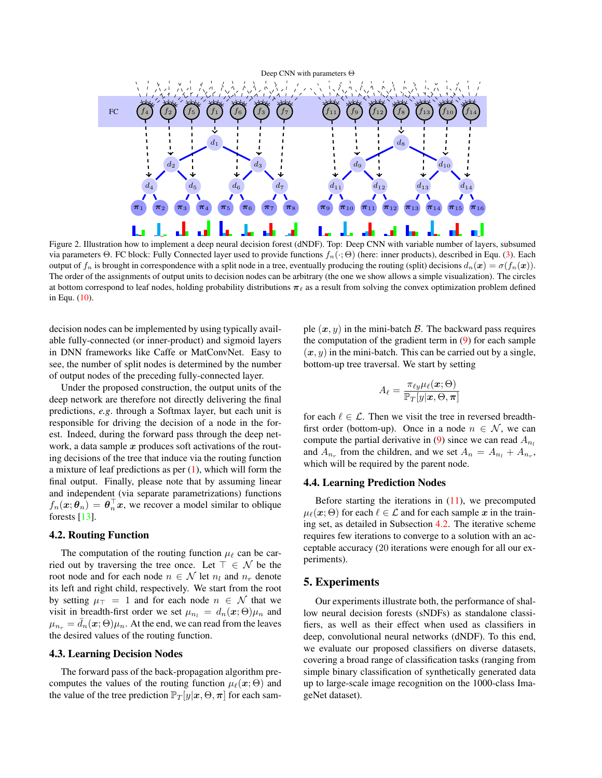<span id="page-4-2"></span>

<span id="page-4-0"></span>Figure 2. Illustration how to implement a deep neural decision forest (dNDF). Top: Deep CNN with variable number of layers, subsumed via parameters Θ. FC block: Fully Connected layer used to provide functions  $f_n(\cdot; \Theta)$  (here: inner products), described in Equ. [\(3\)](#page-2-2). Each output of  $f_n$  is brought in correspondence with a split node in a tree, eventually producing the routing (split) decisions  $d_n(x) = \sigma(f_n(x))$ . The order of the assignments of output units to decision nodes can be arbitrary (the one we show allows a simple visualization). The circles at bottom correspond to leaf nodes, holding probability distributions  $\pi_{\ell}$  as a result from solving the convex optimization problem defined in Equ. [\(10\)](#page-3-2).

decision nodes can be implemented by using typically available fully-connected (or inner-product) and sigmoid layers in DNN frameworks like Caffe or MatConvNet. Easy to see, the number of split nodes is determined by the number of output nodes of the preceding fully-connected layer.

Under the proposed construction, the output units of the deep network are therefore not directly delivering the final predictions, *e.g*. through a Softmax layer, but each unit is responsible for driving the decision of a node in the forest. Indeed, during the forward pass through the deep network, a data sample  $x$  produces soft activations of the routing decisions of the tree that induce via the routing function a mixture of leaf predictions as per  $(1)$ , which will form the final output. Finally, please note that by assuming linear and independent (via separate parametrizations) functions  $f_n(\boldsymbol{x}; \boldsymbol{\theta}_n) = \boldsymbol{\theta}_n^{\top} \boldsymbol{x}$ , we recover a model similar to oblique forests [\[13\]](#page-8-27).

### <span id="page-4-1"></span>4.2. Routing Function

The computation of the routing function  $\mu_{\ell}$  can be carried out by traversing the tree once. Let  $\top \in \mathcal{N}$  be the root node and for each node  $n \in \mathcal{N}$  let  $n_l$  and  $n_r$  denote its left and right child, respectively. We start from the root by setting  $\mu_{\perp} = 1$  and for each node  $n \in \mathcal{N}$  that we visit in breadth-first order we set  $\mu_{n_l} = d_n(\mathbf{x}; \Theta) \mu_n$  and  $\mu_{n_r} = d_n(\mathbf{x}; \Theta) \mu_n$ . At the end, we can read from the leaves the desired values of the routing function.

### 4.3. Learning Decision Nodes

The forward pass of the back-propagation algorithm precomputes the values of the routing function  $\mu_{\ell}(\mathbf{x}; \Theta)$  and the value of the tree prediction  $\mathbb{P}_T[y|\mathbf{x}, \Theta, \pi]$  for each sample  $(x, y)$  in the mini-batch B. The backward pass requires the computation of the gradient term in [\(9\)](#page-2-3) for each sample  $(x, y)$  in the mini-batch. This can be carried out by a single, bottom-up tree traversal. We start by setting

$$
A_{\ell} = \frac{\pi_{\ell y} \mu_{\ell}(\boldsymbol{x};\Theta)}{\mathbb{P}_T[y|\boldsymbol{x},\Theta,\boldsymbol{\pi}]}
$$

for each  $\ell \in \mathcal{L}$ . Then we visit the tree in reversed breadthfirst order (bottom-up). Once in a node  $n \in \mathcal{N}$ , we can compute the partial derivative in [\(9\)](#page-2-3) since we can read  $A_{n_l}$ and  $A_{n_r}$  from the children, and we set  $A_n = A_{n_l} + A_{n_r}$ , which will be required by the parent node.

#### 4.4. Learning Prediction Nodes

Before starting the iterations in  $(11)$ , we precomputed  $\mu_{\ell}(\mathbf{x}; \Theta)$  for each  $\ell \in \mathcal{L}$  and for each sample x in the training set, as detailed in Subsection [4.2.](#page-4-1) The iterative scheme requires few iterations to converge to a solution with an acceptable accuracy (20 iterations were enough for all our experiments).

### 5. Experiments

Our experiments illustrate both, the performance of shallow neural decision forests (sNDFs) as standalone classifiers, as well as their effect when used as classifiers in deep, convolutional neural networks (dNDF). To this end, we evaluate our proposed classifiers on diverse datasets, covering a broad range of classification tasks (ranging from simple binary classification of synthetically generated data up to large-scale image recognition on the 1000-class ImageNet dataset).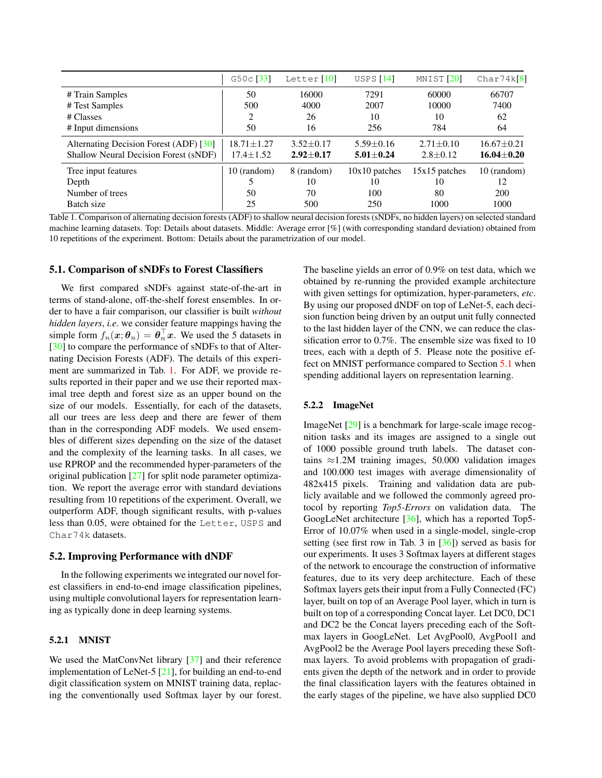<span id="page-5-2"></span>

|                                        | $G50c$ [33]      | Letter $[10]$   | USPS $[14]$     | MNIST <sup>[20]</sup> | Char74k[8]       |
|----------------------------------------|------------------|-----------------|-----------------|-----------------------|------------------|
| # Train Samples                        | 50               | 16000           | 7291            | 60000                 | 66707            |
| # Test Samples                         | 500              | 4000            | 2007            | 10000                 | 7400             |
| # Classes                              | 2                | 26              | 10              | 10                    | 62               |
| # Input dimensions                     | 50               | 16              | 256             | 784                   | 64               |
| Alternating Decision Forest (ADF) [30] | $18.71 \pm 1.27$ | $3.52 + 0.17$   | $5.59 \pm 0.16$ | $2.71 \pm 0.10$       | $16.67 \pm 0.21$ |
| Shallow Neural Decision Forest (sNDF)  | $17.4 \pm 1.52$  | $2.92 \pm 0.17$ | $5.01 \pm 0.24$ | $2.8 \pm 0.12$        | $16.04 \pm 0.20$ |
| Tree input features                    | 10 (random)      | 8 (random)      | $10x10$ patches | $15x15$ patches       | 10 (random)      |
| Depth                                  |                  | 10              | 10              | 10                    | 12               |
| Number of trees                        | 50               | 70              | 100             | 80                    | 200              |
| Batch size                             | 25               | 500             | 250             | 1000                  | 1000             |

<span id="page-5-0"></span>Table 1. Comparison of alternating decision forests (ADF) to shallow neural decision forests (sNDFs, no hidden layers) on selected standard machine learning datasets. Top: Details about datasets. Middle: Average error [%] (with corresponding standard deviation) obtained from 10 repetitions of the experiment. Bottom: Details about the parametrization of our model.

#### <span id="page-5-1"></span>5.1. Comparison of sNDFs to Forest Classifiers

We first compared sNDFs against state-of-the-art in terms of stand-alone, off-the-shelf forest ensembles. In order to have a fair comparison, our classifier is built *without hidden layers*, *i.e*. we consider feature mappings having the simple form  $f_n(\boldsymbol{x}; \boldsymbol{\theta}_n) = \boldsymbol{\theta}_n^{\top} \boldsymbol{x}$ . We used the 5 datasets in [\[30\]](#page-8-19) to compare the performance of sNDFs to that of Alternating Decision Forests (ADF). The details of this experiment are summarized in Tab. [1.](#page-5-0) For ADF, we provide results reported in their paper and we use their reported maximal tree depth and forest size as an upper bound on the size of our models. Essentially, for each of the datasets, all our trees are less deep and there are fewer of them than in the corresponding ADF models. We used ensembles of different sizes depending on the size of the dataset and the complexity of the learning tasks. In all cases, we use RPROP and the recommended hyper-parameters of the original publication  $[27]$  for split node parameter optimization. We report the average error with standard deviations resulting from 10 repetitions of the experiment. Overall, we outperform ADF, though significant results, with p-values less than 0.05, were obtained for the Letter, USPS and Char74k datasets.

#### 5.2. Improving Performance with dNDF

In the following experiments we integrated our novel forest classifiers in end-to-end image classification pipelines, using multiple convolutional layers for representation learning as typically done in deep learning systems.

### 5.2.1 MNIST

We used the MatConvNet library [\[37\]](#page-8-18) and their reference implementation of LeNet-5 [\[21\]](#page-8-35), for building an end-to-end digit classification system on MNIST training data, replacing the conventionally used Softmax layer by our forest.

The baseline yields an error of 0.9% on test data, which we obtained by re-running the provided example architecture with given settings for optimization, hyper-parameters, *etc*. By using our proposed dNDF on top of LeNet-5, each decision function being driven by an output unit fully connected to the last hidden layer of the CNN, we can reduce the classification error to 0.7%. The ensemble size was fixed to 10 trees, each with a depth of 5. Please note the positive effect on MNIST performance compared to Section [5.1](#page-5-1) when spending additional layers on representation learning.

#### 5.2.2 ImageNet

ImageNet [\[29\]](#page-8-36) is a benchmark for large-scale image recognition tasks and its images are assigned to a single out of 1000 possible ground truth labels. The dataset contains  $\approx$ 1.2M training images, 50.000 validation images and 100.000 test images with average dimensionality of 482x415 pixels. Training and validation data are publicly available and we followed the commonly agreed protocol by reporting *Top5-Errors* on validation data. The GoogLeNet architecture [\[36\]](#page-8-10), which has a reported Top5- Error of 10.07% when used in a single-model, single-crop setting (see first row in Tab. 3 in  $[36]$ ) served as basis for our experiments. It uses 3 Softmax layers at different stages of the network to encourage the construction of informative features, due to its very deep architecture. Each of these Softmax layers gets their input from a Fully Connected (FC) layer, built on top of an Average Pool layer, which in turn is built on top of a corresponding Concat layer. Let DC0, DC1 and DC2 be the Concat layers preceding each of the Softmax layers in GoogLeNet. Let AvgPool0, AvgPool1 and AvgPool2 be the Average Pool layers preceding these Softmax layers. To avoid problems with propagation of gradients given the depth of the network and in order to provide the final classification layers with the features obtained in the early stages of the pipeline, we have also supplied DC0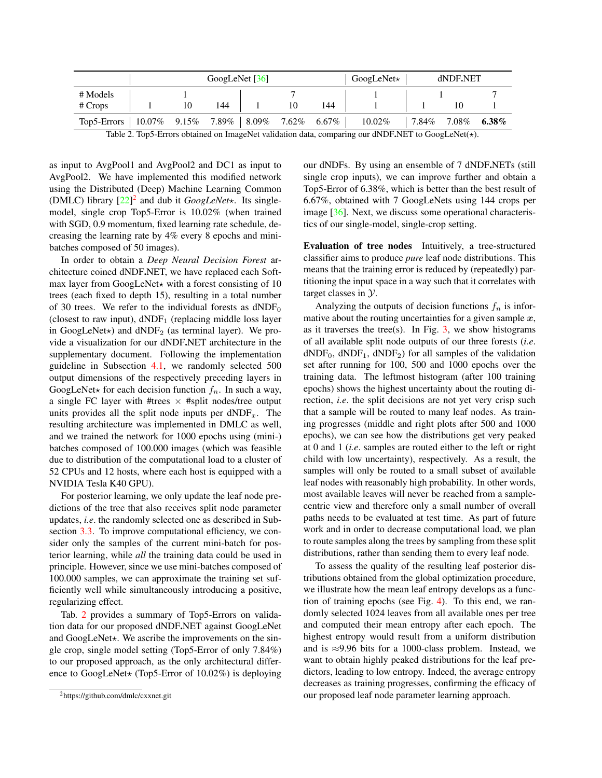<span id="page-6-2"></span>

|                  | GoogLeNet $[36]$                             |    |     |  |    | $GoogleNet\star$ | dNDF.NET  |       |          |       |
|------------------|----------------------------------------------|----|-----|--|----|------------------|-----------|-------|----------|-------|
| # Models         |                                              |    |     |  |    |                  |           |       |          |       |
| $# \text{Crops}$ |                                              | 10 | 144 |  | 10 | 144              |           |       |          |       |
| Top5-Errors      | $10.07\%$ 9.15\% 7.89\% 8.09\% 7.62\% 6.67\% |    |     |  |    |                  | $10.02\%$ | 7.84% | $7.08\%$ | 6.38% |

<span id="page-6-1"></span>Table 2. Top5-Errors obtained on ImageNet validation data, comparing our dNDF.NET to GoogLeNet( $\star$ ).

as input to AvgPool1 and AvgPool2 and DC1 as input to AvgPool2. We have implemented this modified network using the Distributed (Deep) Machine Learning Common (DMLC) library  $[22]^2$  $[22]^2$  $[22]^2$  and dub it *GoogLeNet*\*. Its singlemodel, single crop Top5-Error is 10.02% (when trained with SGD, 0.9 momentum, fixed learning rate schedule, decreasing the learning rate by 4% every 8 epochs and minibatches composed of 50 images).

In order to obtain a *Deep Neural Decision Forest* architecture coined dNDF.NET, we have replaced each Softmax layer from GoogLeNet $\star$  with a forest consisting of 10 trees (each fixed to depth 15), resulting in a total number of 30 trees. We refer to the individual forests as  $dNDF_0$ (closest to raw input),  $dNDF_1$  (replacing middle loss layer in GoogLeNet $\star$ ) and dNDF<sub>2</sub> (as terminal layer). We provide a visualization for our dNDF.NET architecture in the supplementary document. Following the implementation guideline in Subsection [4.1,](#page-3-0) we randomly selected 500 output dimensions of the respectively preceding layers in GoogLeNet $\star$  for each decision function  $f_n$ . In such a way, a single FC layer with #trees  $\times$  #split nodes/tree output units provides all the split node inputs per  $dNDF_x$ . The resulting architecture was implemented in DMLC as well, and we trained the network for 1000 epochs using (mini-) batches composed of 100.000 images (which was feasible due to distribution of the computational load to a cluster of 52 CPUs and 12 hosts, where each host is equipped with a NVIDIA Tesla K40 GPU).

For posterior learning, we only update the leaf node predictions of the tree that also receives split node parameter updates, *i.e*. the randomly selected one as described in Subsection [3.3.](#page-3-6) To improve computational efficiency, we consider only the samples of the current mini-batch for posterior learning, while *all* the training data could be used in principle. However, since we use mini-batches composed of 100.000 samples, we can approximate the training set sufficiently well while simultaneously introducing a positive, regularizing effect.

Tab. [2](#page-6-1) provides a summary of Top5-Errors on validation data for our proposed dNDF.NET against GoogLeNet and GoogLeNet $\star$ . We ascribe the improvements on the single crop, single model setting (Top5-Error of only 7.84%) to our proposed approach, as the only architectural difference to GoogLeNet $\star$  (Top5-Error of 10.02%) is deploying

our dNDFs. By using an ensemble of 7 dNDF.NETs (still single crop inputs), we can improve further and obtain a Top5-Error of 6.38%, which is better than the best result of 6.67%, obtained with 7 GoogLeNets using 144 crops per image [\[36\]](#page-8-10). Next, we discuss some operational characteristics of our single-model, single-crop setting.

Evaluation of tree nodes Intuitively, a tree-structured classifier aims to produce *pure* leaf node distributions. This means that the training error is reduced by (repeatedly) partitioning the input space in a way such that it correlates with target classes in Y.

Analyzing the outputs of decision functions  $f_n$  is informative about the routing uncertainties for a given sample  $x$ , as it traverses the tree(s). In Fig.  $3$ , we show histograms of all available split node outputs of our three forests (*i.e*.  $dNDF_0$ ,  $dNDF_1$ ,  $dNDF_2$ ) for all samples of the validation set after running for 100, 500 and 1000 epochs over the training data. The leftmost histogram (after 100 training epochs) shows the highest uncertainty about the routing direction, *i.e*. the split decisions are not yet very crisp such that a sample will be routed to many leaf nodes. As training progresses (middle and right plots after 500 and 1000 epochs), we can see how the distributions get very peaked at 0 and 1 (*i.e*. samples are routed either to the left or right child with low uncertainty), respectively. As a result, the samples will only be routed to a small subset of available leaf nodes with reasonably high probability. In other words, most available leaves will never be reached from a samplecentric view and therefore only a small number of overall paths needs to be evaluated at test time. As part of future work and in order to decrease computational load, we plan to route samples along the trees by sampling from these split distributions, rather than sending them to every leaf node.

To assess the quality of the resulting leaf posterior distributions obtained from the global optimization procedure, we illustrate how the mean leaf entropy develops as a function of training epochs (see Fig. [4\)](#page-7-1). To this end, we randomly selected 1024 leaves from all available ones per tree and computed their mean entropy after each epoch. The highest entropy would result from a uniform distribution and is  $\approx$ 9.96 bits for a 1000-class problem. Instead, we want to obtain highly peaked distributions for the leaf predictors, leading to low entropy. Indeed, the average entropy decreases as training progresses, confirming the efficacy of our proposed leaf node parameter learning approach.

<span id="page-6-0"></span><sup>2</sup>https://github.com/dmlc/cxxnet.git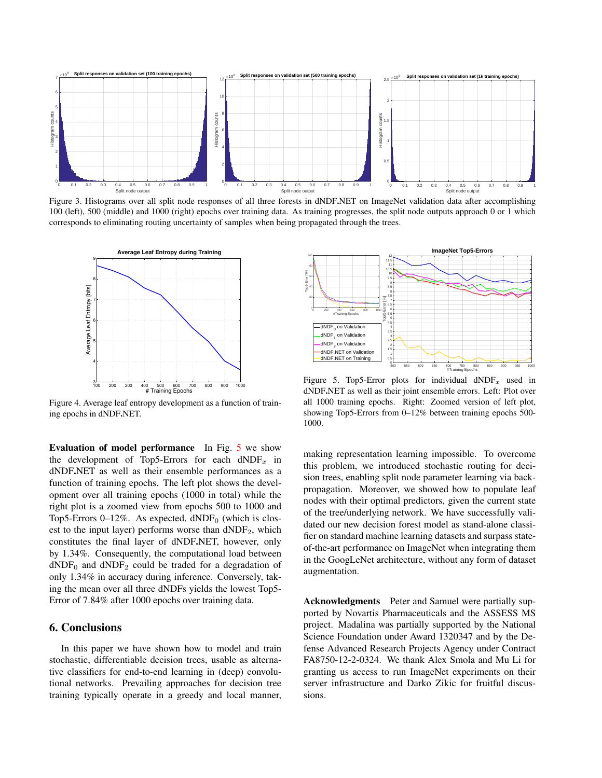

<span id="page-7-0"></span>Figure 3. Histograms over all split node responses of all three forests in dNDF.NET on ImageNet validation data after accomplishing 100 (left), 500 (middle) and 1000 (right) epochs over training data. As training progresses, the split node outputs approach 0 or 1 which corresponds to eliminating routing uncertainty of samples when being propagated through the trees.



<span id="page-7-1"></span>Figure 4. Average leaf entropy development as a function of training epochs in dNDF.NET.

Evaluation of model performance In Fig. [5](#page-7-2) we show the development of Top5-Errors for each  $dNDF_x$  in dNDF.NET as well as their ensemble performances as a function of training epochs. The left plot shows the development over all training epochs (1000 in total) while the right plot is a zoomed view from epochs 500 to 1000 and Top5-Errors  $0-12\%$ . As expected, dNDF<sub>0</sub> (which is closest to the input layer) performs worse than  $dNDF_2$ , which constitutes the final layer of dNDF.NET, however, only by 1.34%. Consequently, the computational load between  $dNDF_0$  and  $dNDF_2$  could be traded for a degradation of only 1.34% in accuracy during inference. Conversely, taking the mean over all three dNDFs yields the lowest Top5- Error of 7.84% after 1000 epochs over training data.

## 6. Conclusions

In this paper we have shown how to model and train stochastic, differentiable decision trees, usable as alternative classifiers for end-to-end learning in (deep) convolutional networks. Prevailing approaches for decision tree training typically operate in a greedy and local manner,



<span id="page-7-2"></span>Figure 5. Top5-Error plots for individual  $dNDF_x$  used in dNDF.NET as well as their joint ensemble errors. Left: Plot over all 1000 training epochs. Right: Zoomed version of left plot, showing Top5-Errors from 0–12% between training epochs 500- 1000.

making representation learning impossible. To overcome this problem, we introduced stochastic routing for decision trees, enabling split node parameter learning via backpropagation. Moreover, we showed how to populate leaf nodes with their optimal predictors, given the current state of the tree/underlying network. We have successfully validated our new decision forest model as stand-alone classifier on standard machine learning datasets and surpass stateof-the-art performance on ImageNet when integrating them in the GoogLeNet architecture, without any form of dataset augmentation.

Acknowledgments Peter and Samuel were partially supported by Novartis Pharmaceuticals and the ASSESS MS project. Madalina was partially supported by the National Science Foundation under Award 1320347 and by the Defense Advanced Research Projects Agency under Contract FA8750-12-2-0324. We thank Alex Smola and Mu Li for granting us access to run ImageNet experiments on their server infrastructure and Darko Zikic for fruitful discussions.